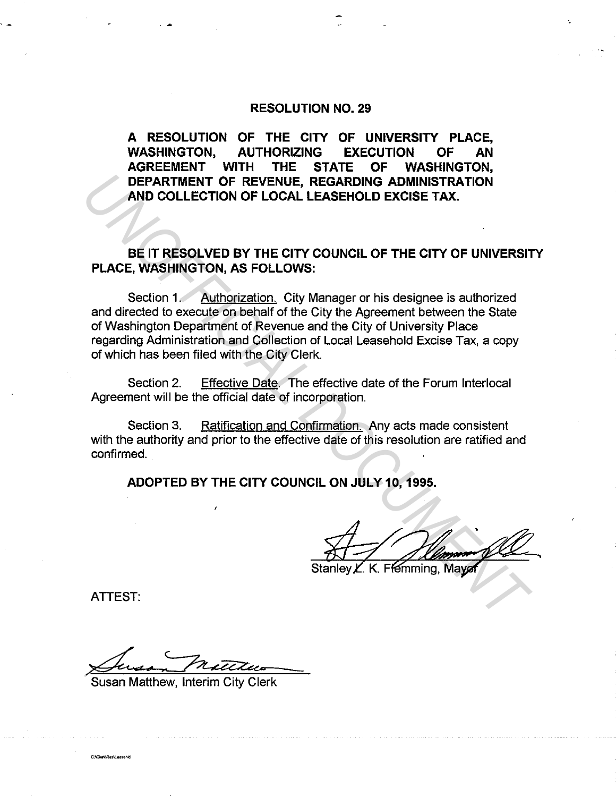## **RESOLUTION NO. 29**

**A RESOLUTION OF THE CITY OF UNIVERSITY PLACE, WASHINGTON, AUTHORIZING EXECUTION OF AN AGREEMENT WITH THE STATE OF WASHINGTON, DEPARTMENT OF REVENUE, REGARDING ADMINISTRATION AND COLLECTION OF LOCAL LEASEHOLD EXCISE TAX.** 

**BE IT RESOLVED BY THE CITY COUNCIL OF THE CITY OF UNIVERSITY PLACE, WASHINGTON, AS FOLLOWS:** 

Section 1. Authorization. City Manager or his designee is authorized and directed to execute on behalf of the City the Agreement between the State of Washington Department of Revenue and the City of University Place regarding Administration and Collection of Local Leasehold Excise Tax, a copy of which has been filed with the City Clerk. **DEPARTMENT OF REVENUE, REGARDING ADMINISTRATION**<br> **AND COLLECTION OF LOCAL LEASEHOLD EXCISE TAX.**<br> **UNCE, WASHINGTON, AS FOLLOWS:**<br> **UNCE, WASHINGTON, AS FOLLOWS:**<br>
Section 1. Authorization, City Manager or his designee i

Section 2. Effective Date. The effective date of the Forum lnterlocal Agreement will be the official date of incorporation.

Section 3. Ratification and Confirmation. Any acts made consistent with the authority and prior to the effective date of this resolution are ratified and confirmed.

**ADOPTED BY THE CITY COUNCIL ON JULY 10, 1995.** 

ATTEST:

C:\ClerkRes\/ easebid

Susan Metitus

Susan Matthew, Interim City Clerk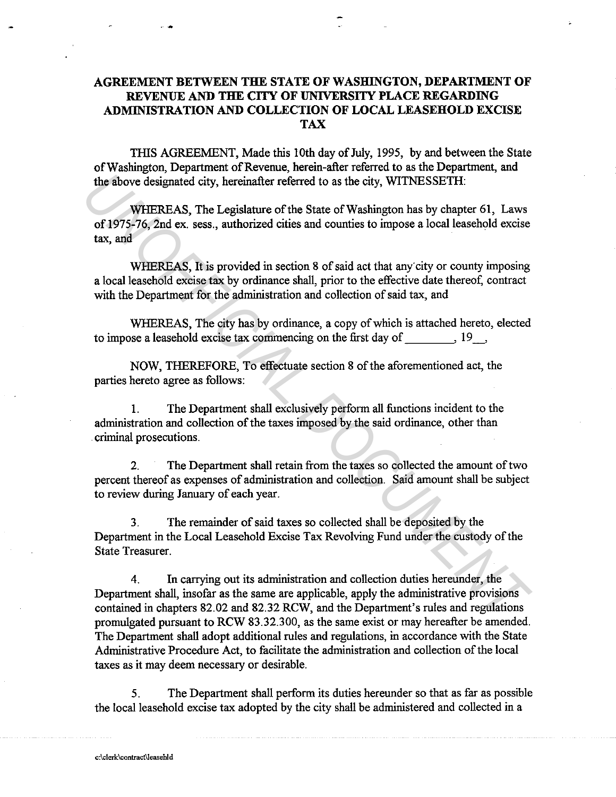## AGREEMENT BETWEEN THE STATE OF WASHINGTON, DEPARTMENT OF REVENUE AND THE CITY OF UNIVERSITY PLACE REGARDING ADMINISTRATION AND COLLECTION OF LOCAL LEASEHOLD EXCISE TAX

TIIlS AGREEMENT, Made this 10th day of July, 1995, by and between the State of Washington, Department of Revenue, herein-after referred to as the Department, and the above designated city, hereinafter referred to as the city, WlTNESSETH:

WHEREAS, The Legislature of the State of Washington has by chapter 61, Laws of 1975-76, 2nd ex. sess., authorized cities and counties to impose a local leasehold excise tax, and

WHEREAS. It is provided in section 8 of said act that any city or county imposing a local leasehold excise tax by ordinance shall, prior to the effective date thereof, contract with the Department for the administration and collection of said tax, and

WHEREAS, The city has by ordinance, a copy of which is attached hereto, elected to impose a leasehold excise tax commencing on the first day of  $\,$ ,  $\,$ 19  $\,$ ,

NOW, THEREFORE, To effectuate section 8 of the aforementioned act, the parties hereto agree as follows:

1. The Department shall exclusively perform all functions incident to the administration and collection of the taxes imposed by the said ordinance, other than . criminal prosecutions.

2. The Department shall retain from the taxes so collected the amount of two percent thereof as expenses of administration and collection. Said amount shall be subject to review during January of each year.

3. The remainder of said taxes so collected shall be deposited by the Department in the Local Leasehold Excise Tax Revolving Fund under the custody of the State Treasurer.

4. In carrying out its administration and collection duties hereunder, the Department shall, insofar as the same are applicable, apply the administrative provisions contained in chapters 82.02 and 82.32 RCW, and the Department's rules and regulations promulgated pursuant to RCW 83.32.300, as the same exist or may hereafter be amended. The Department shall adopt additional rules and regulations, in accordance with the State Administrative Procedure Act, to facilitate the administration and collection of the local taxes as it may deem necessary or desirable. **INTERTEAS,** The Legislature of the State of Washington has by chapter 61, Laws<br> **WHEREAS,** The Legislature of the State of Washington has by chapter 61, Laws<br>
of 1975-76, 2nd ex. sess., authorized cities and counties to i

5. The Department shall perform its duties hereunder so that as far as possible the local leasehold excise tax adopted by the city shall be administered and collected in a